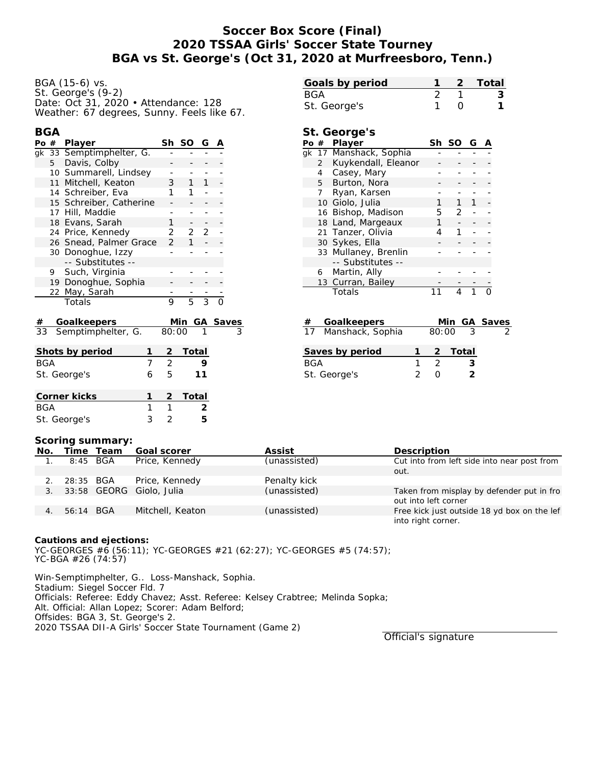# **Soccer Box Score (Final) 2020 TSSAA Girls' Soccer State Tourney BGA vs St. George's (Oct 31, 2020 at Murfreesboro, Tenn.)**

| BGA (15-6) vs.                             |
|--------------------------------------------|
| St. George's (9-2)                         |
| Date: Oct 31, 2020 • Attendance: 128       |
| Weather: 67 degrees, Sunny. Feels like 67. |

#### **BGA**

| Po # |   | Player                   | Sh            | SO        | G |  |
|------|---|--------------------------|---------------|-----------|---|--|
|      |   | gk 33 Semptimphelter, G. |               |           |   |  |
|      | 5 | Davis, Colby             |               |           |   |  |
|      |   | 10 Summarell, Lindsey    |               |           |   |  |
|      |   | 11 Mitchell, Keaton      | 3             |           |   |  |
|      |   | 14 Schreiber, Eva        |               |           |   |  |
|      |   | 15 Schreiber, Catherine  |               |           |   |  |
|      |   | 17 Hill, Maddie          |               |           |   |  |
|      |   | 18 Evans, Sarah          | 1             |           |   |  |
|      |   | 24 Price, Kennedy        | 2             | 2         | 2 |  |
|      |   | 26 Snead, Palmer Grace   | $\mathcal{P}$ |           |   |  |
|      |   | 30 Donoghue, Izzy        |               |           |   |  |
|      |   | -- Substitutes --        |               |           |   |  |
|      | 9 | Such, Virginia           |               |           |   |  |
|      |   | 19 Donoghue, Sophia      |               |           |   |  |
|      |   | 22 May, Sarah            |               |           |   |  |
|      |   | Totals                   | 9             | г,        |   |  |
|      |   |                          |               |           |   |  |
| ᅭ    |   | Coollicanor              |               | MIn ChCov |   |  |

| # Goalkeepers         |         | Min GA Saves |
|-----------------------|---------|--------------|
| 33 Semptimphelter, G. | 80:00 1 |              |

| Shots by period |   |   | Total   |
|-----------------|---|---|---------|
| BGA             |   | 2 |         |
| St. George's    | 6 | 5 | 11      |
| Corner kicks    |   |   | 2 Total |
| BGA             |   |   |         |
| St. George's    |   |   |         |

| Goals by period |  | 2 Total |
|-----------------|--|---------|
| BGA             |  |         |
| St. George's    |  |         |

### **St. George's**

| Po # |                | Player                 | Sh | SO. | G |  |
|------|----------------|------------------------|----|-----|---|--|
|      |                | gk 17 Manshack, Sophia |    |     |   |  |
|      | $\overline{2}$ | Kuykendall, Eleanor    |    |     |   |  |
|      | 4              | Casey, Mary            |    |     |   |  |
|      |                | 5 Burton, Nora         |    |     |   |  |
|      | 7              | Ryan, Karsen           |    |     |   |  |
|      |                | 10 Giolo, Julia        | 1  | 1   | 1 |  |
|      |                | 16 Bishop, Madison     |    | 2   |   |  |
|      |                | 18 Land, Margeaux      |    |     |   |  |
|      |                | 21 Tanzer, Olivia      | 4  |     |   |  |
|      |                | 30 Sykes, Ella         |    |     |   |  |
|      |                | 33 Mullaney, Brenlin   |    |     |   |  |
|      |                | -- Substitutes --      |    |     |   |  |
|      |                | 6 Martin, Ally         |    |     |   |  |
|      |                | 13 Curran, Bailey      |    |     |   |  |
|      |                | Totals                 |    |     |   |  |

| #   | Goalkeepers         |               |  |         | Min GA Saves |
|-----|---------------------|---------------|--|---------|--------------|
|     | 17 Manshack, Sophia | 80:00         |  |         |              |
|     |                     |               |  |         |              |
|     | Saves by period     |               |  | 2 Total |              |
| BGA |                     | $\mathcal{P}$ |  | ર       |              |
|     | St. George's        |               |  |         |              |

#### **Scoring summary:**

|  | No. |           | Time Team | Goal scorer              | Assist       | Description                                 |
|--|-----|-----------|-----------|--------------------------|--------------|---------------------------------------------|
|  |     | 8:45 BGA  |           | Price, Kennedy           | (unassisted) | Cut into from left side into near post from |
|  |     |           |           |                          |              | out.                                        |
|  |     | 28:35 BGA |           | Price, Kennedy           | Penalty kick |                                             |
|  | 3.  |           |           | 33:58 GEORG Giolo, Julia | (unassisted) | Taken from misplay by defender put in fro   |
|  |     |           |           |                          |              | out into left corner                        |
|  |     | 56:14 BGA |           | Mitchell, Keaton         | (unassisted) | Free kick just outside 18 yd box on the lef |
|  |     |           |           |                          |              | into right corner.                          |
|  |     |           |           |                          |              |                                             |

**Cautions and ejections:**

YC-GEORGES #6 (56:11); YC-GEORGES #21 (62:27); YC-GEORGES #5 (74:57); YC-BGA #26 (74:57)

Win-Semptimphelter, G.. Loss-Manshack, Sophia. Stadium: Siegel Soccer Fld. 7 Officials: Referee: Eddy Chavez; Asst. Referee: Kelsey Crabtree; Melinda Sopka; Alt. Official: Allan Lopez; Scorer: Adam Belford; Offsides: BGA 3, St. George's 2. 2020 TSSAA DII-A Girls' Soccer State Tournament (Game 2)

Official's signature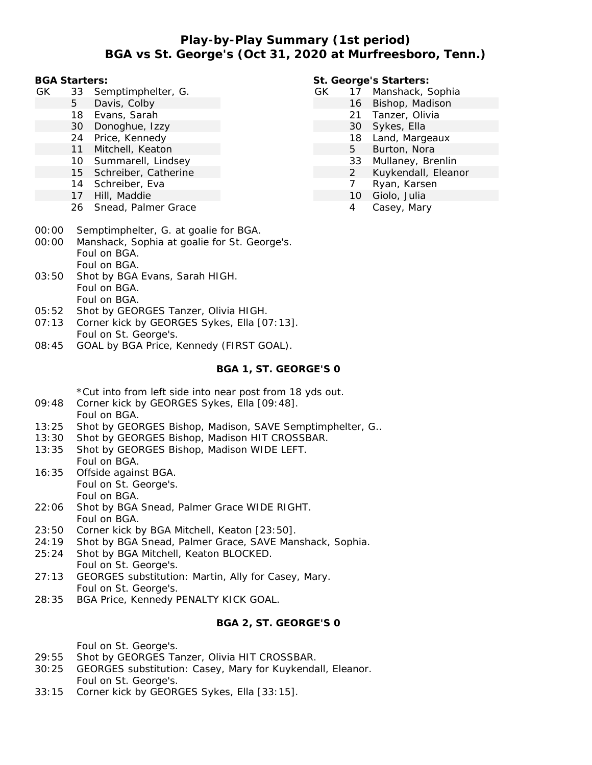# **Play-by-Play Summary (1st period) BGA vs St. George's (Oct 31, 2020 at Murfreesboro, Tenn.)**

**BGA Starters:**

- GK 33 Semptimphelter, G.
	- 5 Davis, Colby
	- 18 Evans, Sarah
	- 30 Donoghue, Izzy
	- 24 Price, Kennedy
	- 11 Mitchell, Keaton
	- 10 Summarell, Lindsey
	- 15 Schreiber, Catherine
	- 14 Schreiber, Eva
	- 17 Hill, Maddie
	- 26 Snead, Palmer Grace
- **St. George's Starters:**
- GK 17 Manshack, Sophia
	- 16 Bishop, Madison
		- 21 Tanzer, Olivia
		- 30 Sykes, Ella
		- 18 Land, Margeaux
		- 5 Burton, Nora
		- 33 Mullaney, Brenlin
		- 2 Kuykendall, Eleanor
		- 7 Ryan, Karsen
		- 10 Giolo, Julia
		- 4 Casey, Mary

- 00:00 Semptimphelter, G. at goalie for BGA.
- 00:00 Manshack, Sophia at goalie for St. George's. Foul on BGA. Foul on BGA.
- 03:50 Shot by BGA Evans, Sarah HIGH. Foul on BGA. Foul on BGA.
- 05:52 Shot by GEORGES Tanzer, Olivia HIGH.
- 07:13 Corner kick by GEORGES Sykes, Ella [07:13]. Foul on St. George's.
- 08:45 GOAL by BGA Price, Kennedy (FIRST GOAL).

### **BGA 1, ST. GEORGE'S 0**

\*Cut into from left side into near post from 18 yds out.

- 09:48 Corner kick by GEORGES Sykes, Ella [09:48]. Foul on BGA.
- 13:25 Shot by GEORGES Bishop, Madison, SAVE Semptimphelter, G..
- 13:30 Shot by GEORGES Bishop, Madison HIT CROSSBAR.
- 13:35 Shot by GEORGES Bishop, Madison WIDE LEFT. Foul on BGA.
- 16:35 Offside against BGA. Foul on St. George's. Foul on BGA.
- 22:06 Shot by BGA Snead, Palmer Grace WIDE RIGHT. Foul on BGA.
- 23:50 Corner kick by BGA Mitchell, Keaton [23:50].
- 24:19 Shot by BGA Snead, Palmer Grace, SAVE Manshack, Sophia.
- 25:24 Shot by BGA Mitchell, Keaton BLOCKED. Foul on St. George's.
- 27:13 GEORGES substitution: Martin, Ally for Casey, Mary. Foul on St. George's.
- 28:35 BGA Price, Kennedy PENALTY KICK GOAL.

### **BGA 2, ST. GEORGE'S 0**

Foul on St. George's.

- 29:55 Shot by GEORGES Tanzer, Olivia HIT CROSSBAR.
- 30:25 GEORGES substitution: Casey, Mary for Kuykendall, Eleanor. Foul on St. George's.
- 33:15 Corner kick by GEORGES Sykes, Ella [33:15].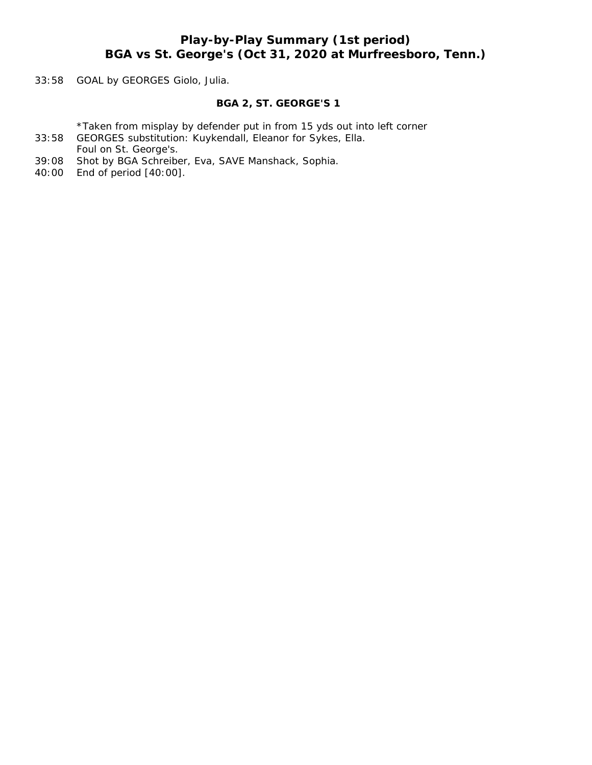# **Play-by-Play Summary (1st period) BGA vs St. George's (Oct 31, 2020 at Murfreesboro, Tenn.)**

33:58 GOAL by GEORGES Giolo, Julia.

#### **BGA 2, ST. GEORGE'S 1**

\*Taken from misplay by defender put in from 15 yds out into left corner

- 33:58 GEORGES substitution: Kuykendall, Eleanor for Sykes, Ella. Foul on St. George's.
- 39:08 Shot by BGA Schreiber, Eva, SAVE Manshack, Sophia.
- 40:00 End of period [40:00].